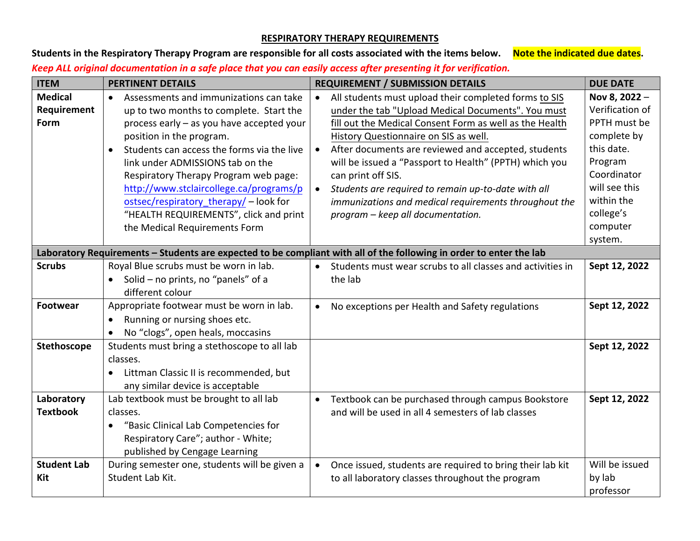## **RESPIRATORY THERAPY REQUIREMENTS**

Students in the Respiratory Therapy Program are responsible for all costs associated with the items below. Note the indicated due dates. *Keep ALL original documentation in a safe place that you can easily access after presenting it for verification.* 

| <b>ITEM</b>                                                                                                         | <b>PERTINENT DETAILS</b>                                                                                                                                                                                                                                                                                                                                                                                                                                           | <b>REQUIREMENT / SUBMISSION DETAILS</b>                                                                                                                                                                                                                                                                                                                                                                                                                                                                                               | <b>DUE DATE</b>                                                                                                                                                            |  |
|---------------------------------------------------------------------------------------------------------------------|--------------------------------------------------------------------------------------------------------------------------------------------------------------------------------------------------------------------------------------------------------------------------------------------------------------------------------------------------------------------------------------------------------------------------------------------------------------------|---------------------------------------------------------------------------------------------------------------------------------------------------------------------------------------------------------------------------------------------------------------------------------------------------------------------------------------------------------------------------------------------------------------------------------------------------------------------------------------------------------------------------------------|----------------------------------------------------------------------------------------------------------------------------------------------------------------------------|--|
| <b>Medical</b><br>Requirement<br>Form                                                                               | Assessments and immunizations can take<br>$\bullet$<br>up to two months to complete. Start the<br>process early - as you have accepted your<br>position in the program.<br>Students can access the forms via the live<br>link under ADMISSIONS tab on the<br>Respiratory Therapy Program web page:<br>http://www.stclaircollege.ca/programs/p<br>ostsec/respiratory_therapy/ - look for<br>"HEALTH REQUIREMENTS", click and print<br>the Medical Requirements Form | All students must upload their completed forms to SIS<br>$\bullet$<br>under the tab "Upload Medical Documents". You must<br>fill out the Medical Consent Form as well as the Health<br>History Questionnaire on SIS as well.<br>After documents are reviewed and accepted, students<br>will be issued a "Passport to Health" (PPTH) which you<br>can print off SIS.<br>Students are required to remain up-to-date with all<br>$\bullet$<br>immunizations and medical requirements throughout the<br>program - keep all documentation. | Nov 8, 2022 -<br>Verification of<br>PPTH must be<br>complete by<br>this date.<br>Program<br>Coordinator<br>will see this<br>within the<br>college's<br>computer<br>system. |  |
| Laboratory Requirements - Students are expected to be compliant with all of the following in order to enter the lab |                                                                                                                                                                                                                                                                                                                                                                                                                                                                    |                                                                                                                                                                                                                                                                                                                                                                                                                                                                                                                                       |                                                                                                                                                                            |  |
| <b>Scrubs</b>                                                                                                       | Royal Blue scrubs must be worn in lab.<br>Solid - no prints, no "panels" of a<br>different colour                                                                                                                                                                                                                                                                                                                                                                  | Students must wear scrubs to all classes and activities in<br>$\bullet$<br>the lab                                                                                                                                                                                                                                                                                                                                                                                                                                                    | Sept 12, 2022                                                                                                                                                              |  |
| Footwear                                                                                                            | Appropriate footwear must be worn in lab.<br>Running or nursing shoes etc.<br>No "clogs", open heals, moccasins<br>$\bullet$                                                                                                                                                                                                                                                                                                                                       | No exceptions per Health and Safety regulations<br>$\bullet$                                                                                                                                                                                                                                                                                                                                                                                                                                                                          | Sept 12, 2022                                                                                                                                                              |  |
| Stethoscope                                                                                                         | Students must bring a stethoscope to all lab<br>classes.<br>Littman Classic II is recommended, but<br>any similar device is acceptable                                                                                                                                                                                                                                                                                                                             |                                                                                                                                                                                                                                                                                                                                                                                                                                                                                                                                       | Sept 12, 2022                                                                                                                                                              |  |
| Laboratory<br><b>Textbook</b>                                                                                       | Lab textbook must be brought to all lab<br>classes.<br>"Basic Clinical Lab Competencies for<br>Respiratory Care"; author - White;<br>published by Cengage Learning                                                                                                                                                                                                                                                                                                 | Textbook can be purchased through campus Bookstore<br>$\bullet$<br>and will be used in all 4 semesters of lab classes                                                                                                                                                                                                                                                                                                                                                                                                                 | Sept 12, 2022                                                                                                                                                              |  |
| <b>Student Lab</b><br>Kit                                                                                           | During semester one, students will be given a<br>Student Lab Kit.                                                                                                                                                                                                                                                                                                                                                                                                  | Once issued, students are required to bring their lab kit<br>$\bullet$<br>to all laboratory classes throughout the program                                                                                                                                                                                                                                                                                                                                                                                                            | Will be issued<br>by lab<br>professor                                                                                                                                      |  |